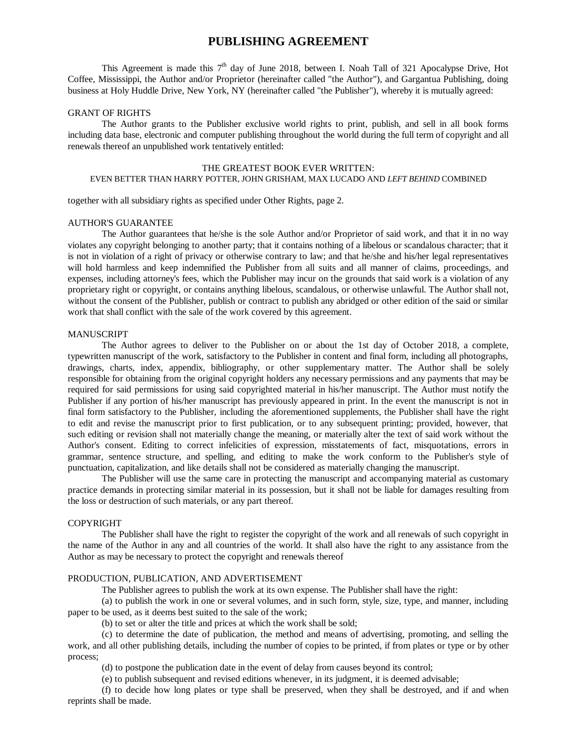# **PUBLISHING AGREEMENT**

This Agreement is made this  $7<sup>th</sup>$  day of June 2018, between I. Noah Tall of 321 Apocalypse Drive, Hot Coffee, Mississippi, the Author and/or Proprietor (hereinafter called "the Author"), and Gargantua Publishing, doing business at Holy Huddle Drive, New York, NY (hereinafter called "the Publisher"), whereby it is mutually agreed:

#### GRANT OF RIGHTS

The Author grants to the Publisher exclusive world rights to print, publish, and sell in all book forms including data base, electronic and computer publishing throughout the world during the full term of copyright and all renewals thereof an unpublished work tentatively entitled:

### THE GREATEST BOOK EVER WRITTEN: EVEN BETTER THAN HARRY POTTER, JOHN GRISHAM, MAX LUCADO AND *LEFT BEHIND* COMBINED

together with all subsidiary rights as specified under Other Rights, page 2.

### AUTHOR'S GUARANTEE

The Author guarantees that he/she is the sole Author and/or Proprietor of said work, and that it in no way violates any copyright belonging to another party; that it contains nothing of a libelous or scandalous character; that it is not in violation of a right of privacy or otherwise contrary to law; and that he/she and his/her legal representatives will hold harmless and keep indemnified the Publisher from all suits and all manner of claims, proceedings, and expenses, including attorney's fees, which the Publisher may incur on the grounds that said work is a violation of any proprietary right or copyright, or contains anything libelous, scandalous, or otherwise unlawful. The Author shall not, without the consent of the Publisher, publish or contract to publish any abridged or other edition of the said or similar work that shall conflict with the sale of the work covered by this agreement.

### **MANUSCRIPT**

The Author agrees to deliver to the Publisher on or about the 1st day of October 2018, a complete, typewritten manuscript of the work, satisfactory to the Publisher in content and final form, including all photographs, drawings, charts, index, appendix, bibliography, or other supplementary matter. The Author shall be solely responsible for obtaining from the original copyright holders any necessary permissions and any payments that may be required for said permissions for using said copyrighted material in his/her manuscript. The Author must notify the Publisher if any portion of his/her manuscript has previously appeared in print. In the event the manuscript is not in final form satisfactory to the Publisher, including the aforementioned supplements, the Publisher shall have the right to edit and revise the manuscript prior to first publication, or to any subsequent printing; provided, however, that such editing or revision shall not materially change the meaning, or materially alter the text of said work without the Author's consent. Editing to correct infelicities of expression, misstatements of fact, misquotations, errors in grammar, sentence structure, and spelling, and editing to make the work conform to the Publisher's style of punctuation, capitalization, and like details shall not be considered as materially changing the manuscript.

The Publisher will use the same care in protecting the manuscript and accompanying material as customary practice demands in protecting similar material in its possession, but it shall not be liable for damages resulting from the loss or destruction of such materials, or any part thereof.

### COPYRIGHT

The Publisher shall have the right to register the copyright of the work and all renewals of such copyright in the name of the Author in any and all countries of the world. It shall also have the right to any assistance from the Author as may be necessary to protect the copyright and renewals thereof

#### PRODUCTION, PUBLICATION, AND ADVERTISEMENT

The Publisher agrees to publish the work at its own expense. The Publisher shall have the right:

(a) to publish the work in one or several volumes, and in such form, style, size, type, and manner, including paper to be used, as it deems best suited to the sale of the work;

(b) to set or alter the title and prices at which the work shall be sold;

(c) to determine the date of publication, the method and means of advertising, promoting, and selling the work, and all other publishing details, including the number of copies to be printed, if from plates or type or by other process;

(d) to postpone the publication date in the event of delay from causes beyond its control;

(e) to publish subsequent and revised editions whenever, in its judgment, it is deemed advisable;

(f) to decide how long plates or type shall be preserved, when they shall be destroyed, and if and when reprints shall be made.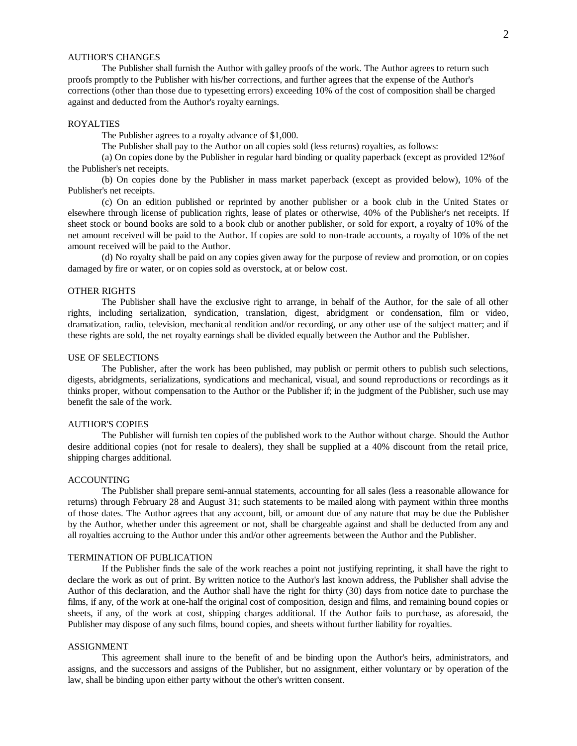### AUTHOR'S CHANGES

The Publisher shall furnish the Author with galley proofs of the work. The Author agrees to return such proofs promptly to the Publisher with his/her corrections, and further agrees that the expense of the Author's corrections (other than those due to typesetting errors) exceeding 10% of the cost of composition shall be charged against and deducted from the Author's royalty earnings.

### ROYALTIES

The Publisher agrees to a royalty advance of \$1,000.

The Publisher shall pay to the Author on all copies sold (less returns) royalties, as follows:

(a) On copies done by the Publisher in regular hard binding or quality paperback (except as provided 12%of the Publisher's net receipts.

(b) On copies done by the Publisher in mass market paperback (except as provided below), 10% of the Publisher's net receipts.

(c) On an edition published or reprinted by another publisher or a book club in the United States or elsewhere through license of publication rights, lease of plates or otherwise, 40% of the Publisher's net receipts. If sheet stock or bound books are sold to a book club or another publisher, or sold for export, a royalty of 10% of the net amount received will be paid to the Author. If copies are sold to non-trade accounts, a royalty of 10% of the net amount received will be paid to the Author.

(d) No royalty shall be paid on any copies given away for the purpose of review and promotion, or on copies damaged by fire or water, or on copies sold as overstock, at or below cost.

### OTHER RIGHTS

The Publisher shall have the exclusive right to arrange, in behalf of the Author, for the sale of all other rights, including serialization, syndication, translation, digest, abridgment or condensation, film or video, dramatization, radio, television, mechanical rendition and/or recording, or any other use of the subject matter; and if these rights are sold, the net royalty earnings shall be divided equally between the Author and the Publisher.

### USE OF SELECTIONS

The Publisher, after the work has been published, may publish or permit others to publish such selections, digests, abridgments, serializations, syndications and mechanical, visual, and sound reproductions or recordings as it thinks proper, without compensation to the Author or the Publisher if; in the judgment of the Publisher, such use may benefit the sale of the work.

#### AUTHOR'S COPIES

The Publisher will furnish ten copies of the published work to the Author without charge. Should the Author desire additional copies (not for resale to dealers), they shall be supplied at a 40% discount from the retail price, shipping charges additional.

#### ACCOUNTING

The Publisher shall prepare semi-annual statements, accounting for all sales (less a reasonable allowance for returns) through February 28 and August 31; such statements to be mailed along with payment within three months of those dates. The Author agrees that any account, bill, or amount due of any nature that may be due the Publisher by the Author, whether under this agreement or not, shall be chargeable against and shall be deducted from any and all royalties accruing to the Author under this and/or other agreements between the Author and the Publisher.

#### TERMINATION OF PUBLICATION

If the Publisher finds the sale of the work reaches a point not justifying reprinting, it shall have the right to declare the work as out of print. By written notice to the Author's last known address, the Publisher shall advise the Author of this declaration, and the Author shall have the right for thirty (30) days from notice date to purchase the films, if any, of the work at one-half the original cost of composition, design and films, and remaining bound copies or sheets, if any, of the work at cost, shipping charges additional. If the Author fails to purchase, as aforesaid, the Publisher may dispose of any such films, bound copies, and sheets without further liability for royalties.

#### ASSIGNMENT

This agreement shall inure to the benefit of and be binding upon the Author's heirs, administrators, and assigns, and the successors and assigns of the Publisher, but no assignment, either voluntary or by operation of the law, shall be binding upon either party without the other's written consent.